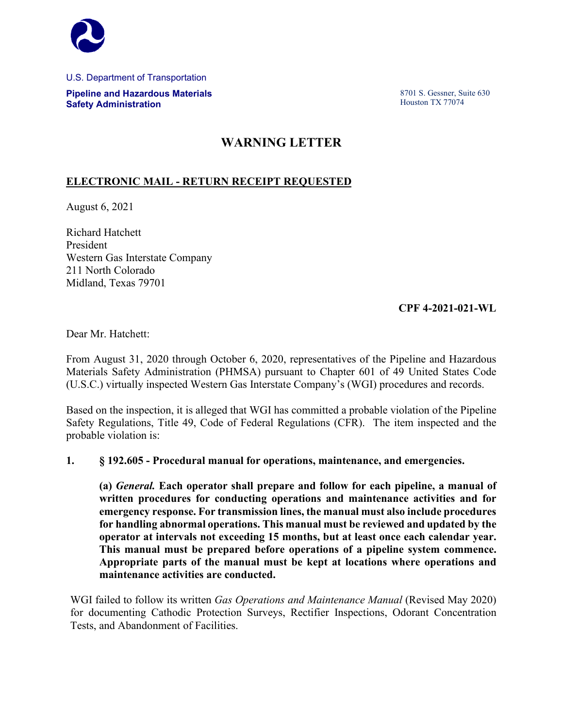

U.S. Department of Transportation **Pipeline and Hazardous Materials Safety Administration**

8701 S. Gessner, Suite 630 Houston TX 77074

## **WARNING LETTER**

## **ELECTRONIC MAIL - RETURN RECEIPT REQUESTED**

August 6, 2021

Richard Hatchett President Western Gas Interstate Company 211 North Colorado Midland, Texas 79701

## **CPF 4-2021-021-WL**

Dear Mr. Hatchett:

From August 31, 2020 through October 6, 2020, representatives of the Pipeline and Hazardous Materials Safety Administration (PHMSA) pursuant to Chapter 601 of 49 United States Code (U.S.C.) virtually inspected Western Gas Interstate Company's (WGI) procedures and records.

Based on the inspection, it is alleged that WGI has committed a probable violation of the Pipeline Safety Regulations, Title 49, Code of Federal Regulations (CFR). The item inspected and the probable violation is:

## **1. § 192.605 - Procedural manual for operations, maintenance, and emergencies.**

**(a)** *General.* **Each operator shall prepare and follow for each pipeline, a manual of written procedures for conducting operations and maintenance activities and for emergency response. For transmission lines, the manual must also include procedures for handling abnormal operations. This manual must be reviewed and updated by the operator at intervals not exceeding 15 months, but at least once each calendar year. This manual must be prepared before operations of a pipeline system commence. Appropriate parts of the manual must be kept at locations where operations and maintenance activities are conducted.** 

WGI failed to follow its written *Gas Operations and Maintenance Manual* (Revised May 2020) for documenting Cathodic Protection Surveys, Rectifier Inspections, Odorant Concentration Tests, and Abandonment of Facilities.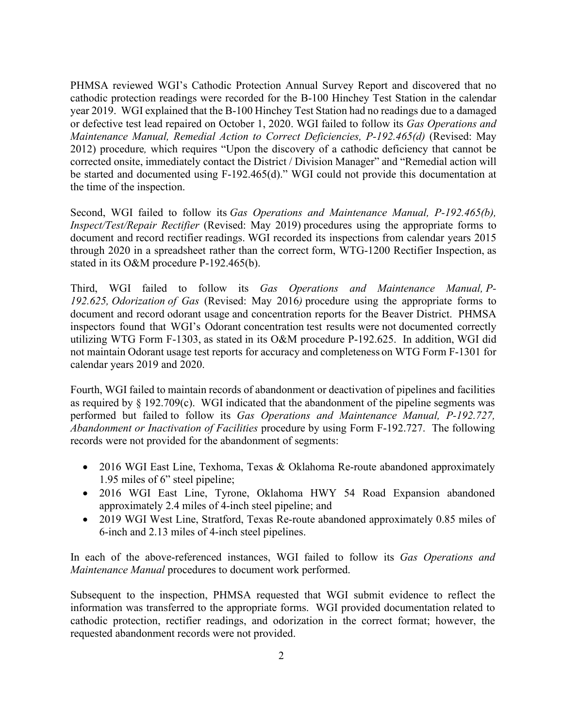PHMSA reviewed WGI's Cathodic Protection Annual Survey Report and discovered that no cathodic protection readings were recorded for the B-100 Hinchey Test Station in the calendar year 2019. WGI explained that the B-100 Hinchey Test Station had no readings due to a damaged or defective test lead repaired on October 1, 2020. WGI failed to follow its *Gas Operations and Maintenance Manual, Remedial Action to Correct Deficiencies, P-192.465(d)* (Revised: May 2012) procedure*,* which requires "Upon the discovery of a cathodic deficiency that cannot be corrected onsite, immediately contact the District / Division Manager" and "Remedial action will be started and documented using F-192.465(d)." WGI could not provide this documentation at the time of the inspection.

Second, WGI failed to follow its *Gas Operations and Maintenance Manual, P-192.465(b), Inspect/Test/Repair Rectifier* (Revised: May 2019) procedures using the appropriate forms to document and record rectifier readings. WGI recorded its inspections from calendar years 2015 through 2020 in a spreadsheet rather than the correct form, WTG-1200 Rectifier Inspection, as stated in its O&M procedure P-192.465(b).

Third, WGI failed to follow its *Gas Operations and Maintenance Manual, P-192.625, Odorization of Gas* (Revised: May 2016*)* procedure using the appropriate forms to document and record odorant usage and concentration reports for the Beaver District. PHMSA inspectors found that WGI's Odorant concentration test results were not documented correctly utilizing WTG Form F-1303, as stated in its O&M procedure P-192.625. In addition, WGI did not maintain Odorant usage test reports for accuracy and completeness on WTG Form F-1301 for calendar years 2019 and 2020.

Fourth, WGI failed to maintain records of abandonment or deactivation of pipelines and facilities as required by § 192.709(c). WGI indicated that the abandonment of the pipeline segments was performed but failed to follow its *Gas Operations and Maintenance Manual, P-192.727, Abandonment or Inactivation of Facilities* procedure by using Form F-192.727. The following records were not provided for the abandonment of segments:

- 2016 WGI East Line, Texhoma, Texas & Oklahoma Re-route abandoned approximately 1.95 miles of 6" steel pipeline;
- 2016 WGI East Line, Tyrone, Oklahoma HWY 54 Road Expansion abandoned approximately 2.4 miles of 4-inch steel pipeline; and
- 2019 WGI West Line, Stratford, Texas Re-route abandoned approximately 0.85 miles of 6-inch and 2.13 miles of 4-inch steel pipelines.

In each of the above-referenced instances, WGI failed to follow its *Gas Operations and Maintenance Manual* procedures to document work performed.

Subsequent to the inspection, PHMSA requested that WGI submit evidence to reflect the information was transferred to the appropriate forms. WGI provided documentation related to cathodic protection, rectifier readings, and odorization in the correct format; however, the requested abandonment records were not provided.